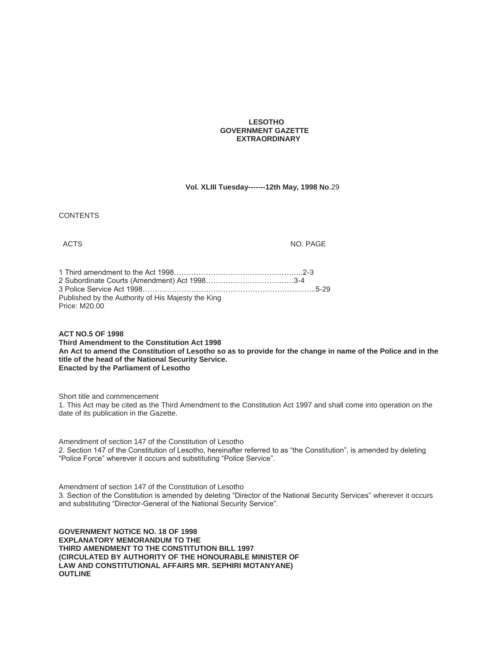### **LESOTHO GOVERNMENT GAZETTE EXTRAORDINARY**

## **Vol. XLIII Tuesday-------12th May, 1998 No**.29

**CONTENTS** 

ACTS NO. PAGE

| Published by the Authority of His Majesty the King |  |
|----------------------------------------------------|--|
| Price: M20.00                                      |  |

**ACT NO.5 OF 1998**

**Third Amendment to the Constitution Act 1998 An Act to amend the Constitution of Lesotho so as to provide for the change in name of the Police and in the title of the head of the National Security Service. Enacted by the Parliament of Lesotho**

Short title and commencement

1. This Act may be cited as the Third Amendment to the Constitution Act 1997 and shall come into operation on the date of its publication in the Gazette.

Amendment of section 147 of the Constitution of Lesotho 2. Section 147 of the Constitution of Lesotho, hereinafter referred to as "the Constitution", is amended by deleting "Police Force" wherever it occurs and substituting "Police Service".

Amendment of section 147 of the Constitution of Lesotho 3. Section of the Constitution is amended by deleting "Director of the National Security Services" wherever it occurs and substituting "Director-General of the National Security Service".

**GOVERNMENT NOTICE NO. 18 OF 1998 EXPLANATORY MEMORANDUM TO THE THIRD AMENDMENT TO THE CONSTITUTION BILL 1997 (CIRCULATED BY AUTHORITY OF THE HONOURABLE MINISTER OF LAW AND CONSTITUTIONAL AFFAIRS MR. SEPHIRI MOTANYANE) OUTLINE**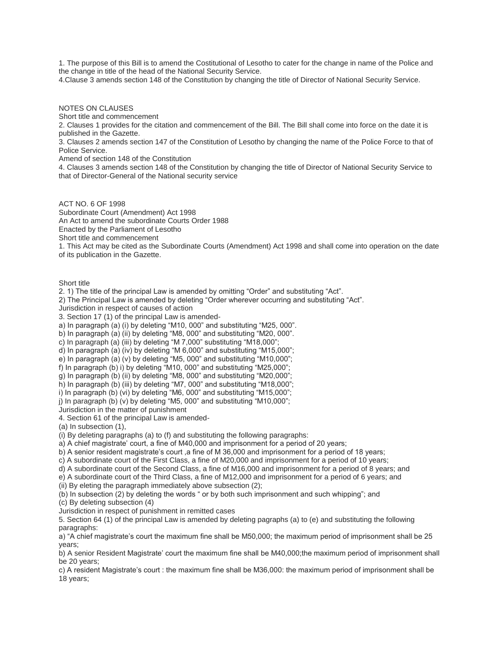1. The purpose of this Bill is to amend the Costitutional of Lesotho to cater for the change in name of the Police and the change in title of the head of the National Security Service.

4.Clause 3 amends section 148 of the Constitution by changing the title of Director of National Security Service.

NOTES ON CLAUSES

Short title and commencement

2. Clauses 1 provides for the citation and commencement of the Bill. The Bill shall come into force on the date it is published in the Gazette.

3. Clauses 2 amends section 147 of the Constitution of Lesotho by changing the name of the Police Force to that of Police Service.

Amend of section 148 of the Constitution

4. Clauses 3 amends section 148 of the Constitution by changing the title of Director of National Security Service to that of Director-General of the National security service

ACT NO. 6 OF 1998 Subordinate Court (Amendment) Act 1998 An Act to amend the subordinate Courts Order 1988 Enacted by the Parliament of Lesotho Short title and commencement

1. This Act may be cited as the Subordinate Courts (Amendment) Act 1998 and shall come into operation on the date of its publication in the Gazette.

Short title

2. 1) The title of the principal Law is amended by omitting "Order" and substituting "Act".

2) The Principal Law is amended by deleting "Order wherever occurring and substituting "Act".

Jurisdiction in respect of causes of action

3. Section 17 (1) of the principal Law is amended-

a) In paragraph (a) (i) by deleting "M10, 000" and substituting "M25, 000".

b) In paragraph (a) (ii) by deleting "M8, 000" and substituting "M20, 000".

c) In paragraph (a) (iii) by deleting "M 7,000" substituting "M18,000";

d) In paragraph (a) (iv) by deleting "M 6,000" and substituting "M15,000";

e) In paragraph (a) (v) by deleting "M5, 000" and substituting "M10,000";

f) In paragraph (b) i) by deleting "M10, 000" and substituting "M25,000";

g) In paragraph (b) (ii) by deleting "M8, 000" and substituting "M20,000";

h) In paragraph (b) (iii) by deleting "M7, 000" and substituting "M18,000";

i) In paragraph (b) (vi) by deleting "M6, 000" and substituting "M15,000";

j) In paragraph (b) (v) by deleting "M5, 000" and substituting "M10,000";

Jurisdiction in the matter of punishment

4. Section 61 of the principal Law is amended-

(a) In subsection (1),

(i) By deleting paragraphs (a) to (f) and substituting the following paragraphs:

a) A chief magistrate' court, a fine of M40,000 and imprisonment for a period of 20 years;

b) A senior resident magistrate's court ,a fine of M 36,000 and imprisonment for a period of 18 years;

c) A subordinate court of the First Class, a fine of M20,000 and imprisonment for a period of 10 years;

d) A subordinate court of the Second Class, a fine of M16,000 and imprisonment for a period of 8 years; and

e) A subordinate court of the Third Class, a fine of M12,000 and imprisonment for a period of 6 years; and

(ii) By eleting the paragraph immediately above subsection (2);

(b) In subsection (2) by deleting the words " or by both such imprisonment and such whipping"; and

(c) By deleting subsection (4)

Jurisdiction in respect of punishment in remitted cases

5. Section 64 (1) of the principal Law is amended by deleting pagraphs (a) to (e) and substituting the following paragraphs:

a) "A chief magistrate's court the maximum fine shall be M50,000; the maximum period of imprisonment shall be 25 years;

b) A senior Resident Magistrate' court the maximum fine shall be M40,000;the maximum period of imprisonment shall be 20 years;

c) A resident Magistrate's court : the maximum fine shall be M36,000: the maximum period of imprisonment shall be 18 years;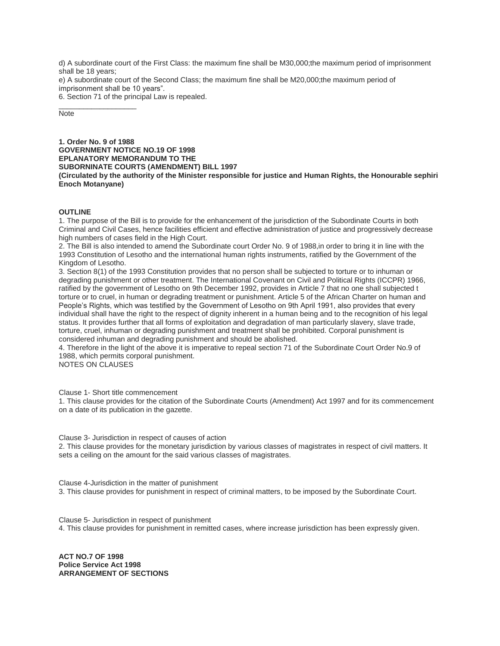d) A subordinate court of the First Class: the maximum fine shall be M30,000;the maximum period of imprisonment shall be 18 years;

e) A subordinate court of the Second Class; the maximum fine shall be M20,000;the maximum period of imprisonment shall be 10 years".

6. Section 71 of the principal Law is repealed.

**Note** 

\_\_\_\_\_\_\_\_\_\_\_\_\_\_\_\_\_\_\_

**1. Order No. 9 of 1988 GOVERNMENT NOTICE NO.19 OF 1998 EPLANATORY MEMORANDUM TO THE SUBORNINATE COURTS (AMENDMENT) BILL 1997 (Circulated by the authority of the Minister responsible for justice and Human Rights, the Honourable sephiri Enoch Motanyane)**

## **OUTLINE**

1. The purpose of the Bill is to provide for the enhancement of the jurisdiction of the Subordinate Courts in both Criminal and Civil Cases, hence facilities efficient and effective administration of justice and progressively decrease high numbers of cases field in the High Court.

2. The Bill is also intended to amend the Subordinate court Order No. 9 of 1988,in order to bring it in line with the 1993 Constitution of Lesotho and the international human rights instruments, ratified by the Government of the Kingdom of Lesotho.

3. Section 8(1) of the 1993 Constitution provides that no person shall be subjected to torture or to inhuman or degrading punishment or other treatment. The International Covenant on Civil and Political Rights (ICCPR) 1966, ratified by the government of Lesotho on 9th December 1992, provides in Article 7 that no one shall subjected t torture or to cruel, in human or degrading treatment or punishment. Article 5 of the African Charter on human and People's Rights, which was testified by the Government of Lesotho on 9th April 1991, also provides that every individual shall have the right to the respect of dignity inherent in a human being and to the recognition of his legal status. It provides further that all forms of exploitation and degradation of man particularly slavery, slave trade, torture, cruel, inhuman or degrading punishment and treatment shall be prohibited. Corporal punishment is considered inhuman and degrading punishment and should be abolished.

4. Therefore in the light of the above it is imperative to repeal section 71 of the Subordinate Court Order No.9 of 1988, which permits corporal punishment.

NOTES ON CLAUSES

Clause 1- Short title commencement

1. This clause provides for the citation of the Subordinate Courts (Amendment) Act 1997 and for its commencement on a date of its publication in the gazette.

Clause 3- Jurisdiction in respect of causes of action

2. This clause provides for the monetary jurisdiction by various classes of magistrates in respect of civil matters. It sets a ceiling on the amount for the said various classes of magistrates.

Clause 4-Jurisdiction in the matter of punishment 3. This clause provides for punishment in respect of criminal matters, to be imposed by the Subordinate Court.

Clause 5- Jurisdiction in respect of punishment 4. This clause provides for punishment in remitted cases, where increase jurisdiction has been expressly given.

**ACT NO.7 OF 1998 Police Service Act 1998 ARRANGEMENT OF SECTIONS**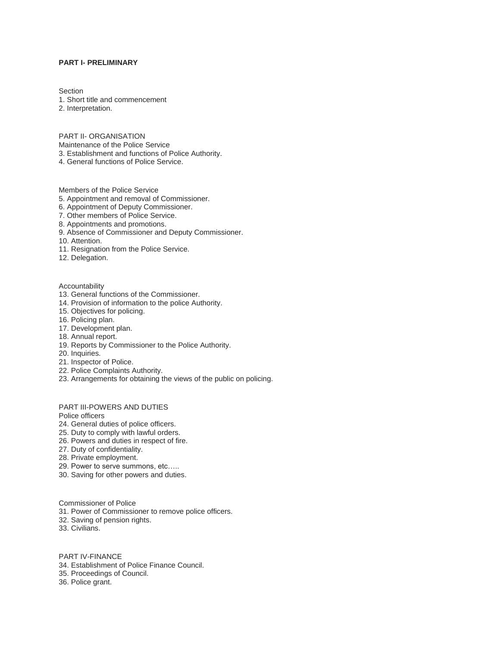## **PART I- PRELIMINARY**

**Section** 

- 1. Short title and commencement
- 2. Interpretation.

PART II- ORGANISATION

- Maintenance of the Police Service
- 3. Establishment and functions of Police Authority.
- 4. General functions of Police Service.

Members of the Police Service

- 5. Appointment and removal of Commissioner.
- 6. Appointment of Deputy Commissioner.
- 7. Other members of Police Service.
- 8. Appointments and promotions.
- 9. Absence of Commissioner and Deputy Commissioner.
- 10. Attention.
- 11. Resignation from the Police Service.
- 12. Delegation.

#### Accountability

- 13. General functions of the Commissioner.
- 14. Provision of information to the police Authority.
- 15. Objectives for policing.
- 16. Policing plan.
- 17. Development plan.
- 18. Annual report.
- 19. Reports by Commissioner to the Police Authority.
- 20. Inquiries.
- 21. Inspector of Police.
- 22. Police Complaints Authority.
- 23. Arrangements for obtaining the views of the public on policing.

PART III-POWERS AND DUTIES

Police officers

- 24. General duties of police officers.
- 25. Duty to comply with lawful orders.
- 26. Powers and duties in respect of fire.
- 27. Duty of confidentiality.
- 28. Private employment.
- 29. Power to serve summons, etc…..
- 30. Saving for other powers and duties.

Commissioner of Police 31. Power of Commissioner to remove police officers. 32. Saving of pension rights.

33. Civilians.

PART IV-FINANCE

- 34. Establishment of Police Finance Council.
- 35. Proceedings of Council.

36. Police grant.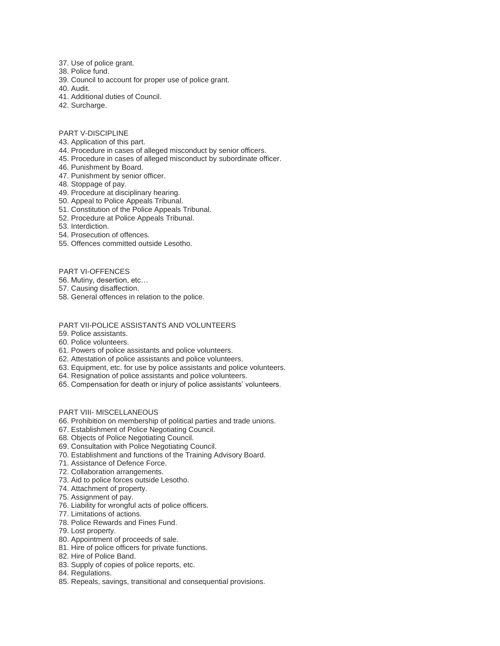- 37. Use of police grant.
- 38. Police fund.
- 39. Council to account for proper use of police grant.
- 40. Audit.
- 41. Additional duties of Council.
- 42. Surcharge.
- PART V-DISCIPLINE
- 43. Application of this part.
- 44. Procedure in cases of alleged misconduct by senior officers.
- 45. Procedure in cases of alleged misconduct by subordinate officer.
- 46. Punishment by Board.
- 47. Punishment by senior officer.
- 48. Stoppage of pay.
- 49. Procedure at disciplinary hearing.
- 50. Appeal to Police Appeals Tribunal.
- 51. Constitution of the Police Appeals Tribunal.
- 52. Procedure at Police Appeals Tribunal.
- 53. Interdiction.
- 54. Prosecution of offences.
- 55. Offences committed outside Lesotho.

## PART VI-OFFENCES

56. Mutiny, desertion, etc…

57. Causing disaffection.

58. General offences in relation to the police.

## PART VII-POLICE ASSISTANTS AND VOLUNTEERS

- 59. Police assistants.
- 60. Police volunteers.
- 61. Powers of police assistants and police volunteers.
- 62. Attestation of police assistants and police volunteers.
- 63. Equipment, etc. for use by police assistants and police volunteers.
- 64. Resignation of police assistants and police volunteers.
- 65. Compensation for death or injury of police assistants' volunteers.

# PART VIII- MISCELLANEOUS

- 66. Prohibition on membership of political parties and trade unions.
- 67. Establishment of Police Negotiating Council.
- 68. Objects of Police Negotiating Council.
- 69. Consultation with Police Negotiating Council.
- 70. Establishment and functions of the Training Advisory Board.
- 71. Assistance of Defence Force.
- 72. Collaboration arrangements.
- 73. Aid to police forces outside Lesotho.
- 74. Attachment of property.
- 75. Assignment of pay.
- 76. Liability for wrongful acts of police officers.
- 77. Limitations of actions.
- 78. Police Rewards and Fines Fund.
- 79. Lost property.
- 80. Appointment of proceeds of sale.
- 81. Hire of police officers for private functions.
- 82. Hire of Police Band.
- 83. Supply of copies of police reports, etc.
- 84. Regulations.
- 85. Repeals, savings, transitional and consequential provisions.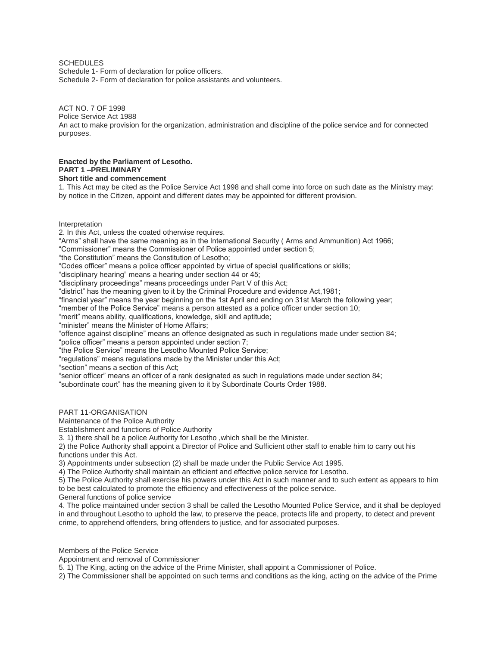# **SCHEDULES**

Schedule 1- Form of declaration for police officers. Schedule 2- Form of declaration for police assistants and volunteers.

# ACT NO. 7 OF 1998

Police Service Act 1988

An act to make provision for the organization, administration and discipline of the police service and for connected purposes.

#### **Enacted by the Parliament of Lesotho. PART 1 –PRELIMINARY Short title and commencement**

1. This Act may be cited as the Police Service Act 1998 and shall come into force on such date as the Ministry may: by notice in the Citizen, appoint and different dates may be appointed for different provision.

### Interpretation

2. In this Act, unless the coated otherwise requires.

"Arms" shall have the same meaning as in the International Security ( Arms and Ammunition) Act 1966;

"Commissioner" means the Commissioner of Police appointed under section 5;

"the Constitution" means the Constitution of Lesotho;

"Codes officer" means a police officer appointed by virtue of special qualifications or skills;

"disciplinary hearing" means a hearing under section 44 or 45;

"disciplinary proceedings" means proceedings under Part V of this Act;

"district" has the meaning given to it by the Criminal Procedure and evidence Act,1981;

"financial year" means the year beginning on the 1st April and ending on 31st March the following year;

"member of the Police Service" means a person attested as a police officer under section 10;

"merit" means ability, qualifications, knowledge, skill and aptitude;

"minister" means the Minister of Home Affairs;

"offence against discipline" means an offence designated as such in regulations made under section 84;

"police officer" means a person appointed under section 7;

"the Police Service" means the Lesotho Mounted Police Service;

"regulations" means regulations made by the Minister under this Act;

"section" means a section of this Act;

"senior officer" means an officer of a rank designated as such in regulations made under section 84;

"subordinate court" has the meaning given to it by Subordinate Courts Order 1988.

## PART 11-ORGANISATION

Maintenance of the Police Authority

Establishment and functions of Police Authority

3. 1) there shall be a police Authority for Lesotho ,which shall be the Minister.

2) the Police Authority shall appoint a Director of Police and Sufficient other staff to enable him to carry out his functions under this Act.

3) Appointments under subsection (2) shall be made under the Public Service Act 1995.

4) The Police Authority shall maintain an efficient and effective police service for Lesotho.

5) The Police Authority shall exercise his powers under this Act in such manner and to such extent as appears to him to be best calculated to promote the efficiency and effectiveness of the police service.

General functions of police service

4. The police maintained under section 3 shall be called the Lesotho Mounted Police Service, and it shall be deployed in and throughout Lesotho to uphold the law, to preserve the peace, protects life and property, to detect and prevent crime, to apprehend offenders, bring offenders to justice, and for associated purposes.

Members of the Police Service

Appointment and removal of Commissioner

5. 1) The King, acting on the advice of the Prime Minister, shall appoint a Commissioner of Police.

2) The Commissioner shall be appointed on such terms and conditions as the king, acting on the advice of the Prime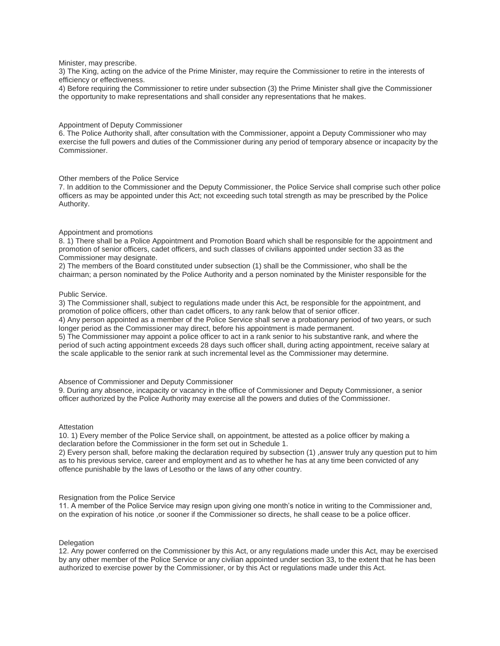Minister, may prescribe.

3) The King, acting on the advice of the Prime Minister, may require the Commissioner to retire in the interests of efficiency or effectiveness.

4) Before requiring the Commissioner to retire under subsection (3) the Prime Minister shall give the Commissioner the opportunity to make representations and shall consider any representations that he makes.

#### Appointment of Deputy Commissioner

6. The Police Authority shall, after consultation with the Commissioner, appoint a Deputy Commissioner who may exercise the full powers and duties of the Commissioner during any period of temporary absence or incapacity by the Commissioner.

### Other members of the Police Service

7. In addition to the Commissioner and the Deputy Commissioner, the Police Service shall comprise such other police officers as may be appointed under this Act; not exceeding such total strength as may be prescribed by the Police Authority.

#### Appointment and promotions

8. 1) There shall be a Police Appointment and Promotion Board which shall be responsible for the appointment and promotion of senior officers, cadet officers, and such classes of civilians appointed under section 33 as the Commissioner may designate.

2) The members of the Board constituted under subsection (1) shall be the Commissioner, who shall be the chairman; a person nominated by the Police Authority and a person nominated by the Minister responsible for the

### Public Service.

3) The Commissioner shall, subject to regulations made under this Act, be responsible for the appointment, and promotion of police officers, other than cadet officers, to any rank below that of senior officer.

4) Any person appointed as a member of the Police Service shall serve a probationary period of two years, or such longer period as the Commissioner may direct, before his appointment is made permanent.

5) The Commissioner may appoint a police officer to act in a rank senior to his substantive rank, and where the period of such acting appointment exceeds 28 days such officer shall, during acting appointment, receive salary at the scale applicable to the senior rank at such incremental level as the Commissioner may determine.

#### Absence of Commissioner and Deputy Commissioner

9. During any absence, incapacity or vacancy in the office of Commissioner and Deputy Commissioner, a senior officer authorized by the Police Authority may exercise all the powers and duties of the Commissioner.

### **Attestation**

10. 1) Every member of the Police Service shall, on appointment, be attested as a police officer by making a declaration before the Commissioner in the form set out in Schedule 1.

2) Every person shall, before making the declaration required by subsection (1) ,answer truly any question put to him as to his previous service, career and employment and as to whether he has at any time been convicted of any offence punishable by the laws of Lesotho or the laws of any other country.

### Resignation from the Police Service

11. A member of the Police Service may resign upon giving one month's notice in writing to the Commissioner and, on the expiration of his notice ,or sooner if the Commissioner so directs, he shall cease to be a police officer.

### **Delegation**

12. Any power conferred on the Commissioner by this Act, or any regulations made under this Act, may be exercised by any other member of the Police Service or any civilian appointed under section 33, to the extent that he has been authorized to exercise power by the Commissioner, or by this Act or regulations made under this Act.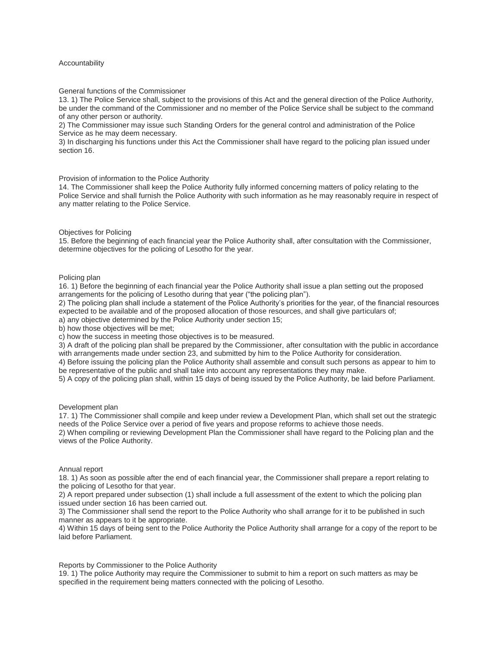## Accountability

### General functions of the Commissioner

13. 1) The Police Service shall, subject to the provisions of this Act and the general direction of the Police Authority, be under the command of the Commissioner and no member of the Police Service shall be subject to the command of any other person or authority.

2) The Commissioner may issue such Standing Orders for the general control and administration of the Police Service as he may deem necessary.

3) In discharging his functions under this Act the Commissioner shall have regard to the policing plan issued under section 16.

### Provision of information to the Police Authority

14. The Commissioner shall keep the Police Authority fully informed concerning matters of policy relating to the Police Service and shall furnish the Police Authority with such information as he may reasonably require in respect of any matter relating to the Police Service.

### Objectives for Policing

15. Before the beginning of each financial year the Police Authority shall, after consultation with the Commissioner, determine objectives for the policing of Lesotho for the year.

#### Policing plan

16. 1) Before the beginning of each financial year the Police Authority shall issue a plan setting out the proposed arrangements for the policing of Lesotho during that year ("the policing plan").

2) The policing plan shall include a statement of the Police Authority's priorities for the year, of the financial resources expected to be available and of the proposed allocation of those resources, and shall give particulars of;

a) any objective determined by the Police Authority under section 15;

b) how those objectives will be met;

c) how the success in meeting those objectives is to be measured.

3) A draft of the policing plan shall be prepared by the Commissioner, after consultation with the public in accordance with arrangements made under section 23, and submitted by him to the Police Authority for consideration.

4) Before issuing the policing plan the Police Authority shall assemble and consult such persons as appear to him to be representative of the public and shall take into account any representations they may make.

5) A copy of the policing plan shall, within 15 days of being issued by the Police Authority, be laid before Parliament.

### Development plan

17. 1) The Commissioner shall compile and keep under review a Development Plan, which shall set out the strategic needs of the Police Service over a period of five years and propose reforms to achieve those needs.

2) When compiling or reviewing Development Plan the Commissioner shall have regard to the Policing plan and the views of the Police Authority.

#### Annual report

18. 1) As soon as possible after the end of each financial year, the Commissioner shall prepare a report relating to the policing of Lesotho for that year.

2) A report prepared under subsection (1) shall include a full assessment of the extent to which the policing plan issued under section 16 has been carried out.

3) The Commissioner shall send the report to the Police Authority who shall arrange for it to be published in such manner as appears to it be appropriate.

4) Within 15 days of being sent to the Police Authority the Police Authority shall arrange for a copy of the report to be laid before Parliament.

### Reports by Commissioner to the Police Authority

19. 1) The police Authority may require the Commissioner to submit to him a report on such matters as may be specified in the requirement being matters connected with the policing of Lesotho.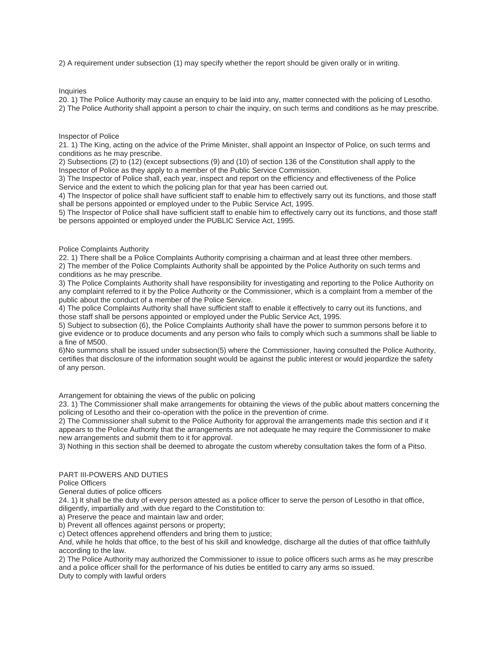2) A requirement under subsection (1) may specify whether the report should be given orally or in writing.

Inquiries

20. 1) The Police Authority may cause an enquiry to be laid into any, matter connected with the policing of Lesotho. 2) The Police Authority shall appoint a person to chair the inquiry, on such terms and conditions as he may prescribe.

## Inspector of Police

21. 1) The King, acting on the advice of the Prime Minister, shall appoint an Inspector of Police, on such terms and conditions as he may prescribe.

2) Subsections (2) to (12) (except subsections (9) and (10) of section 136 of the Constitution shall apply to the Inspector of Police as they apply to a member of the Public Service Commission.

3) The Inspector of Police shall, each year, inspect and report on the efficiency and effectiveness of the Police Service and the extent to which the policing plan for that year has been carried out.

4) The Inspector of police shall have sufficient staff to enable him to effectively sarry out its functions, and those staff shall be persons appointed or employed under to the Public Service Act, 1995.

5) The Inspector of Police shall have sufficient staff to enable him to effectively carry out its functions, and those staff be persons appointed or employed under the PUBLIC Service Act, 1995.

## Police Complaints Authority

22. 1) There shall be a Police Complaints Authority comprising a chairman and at least three other members. 2) The member of the Police Complaints Authority shall be appointed by the Police Authority on such terms and conditions as he may prescribe.

3) The Police Complaints Authority shall have responsibility for investigating and reporting to the Police Authority on any complaint referred to it by the Police Authority or the Commissioner, which is a complaint from a member of the public about the conduct of a member of the Police Service.

4) The police Complaints Authority shall have sufficient staff to enable it effectively to carry out its functions, and those staff shall be persons appointed or employed under the Public Service Act, 1995.

5) Subject to subsection (6), the Police Complaints Authority shall have the power to summon persons before it to give evidence or to produce documents and any person who fails to comply which such a summons shall be liable to a fine of M500.

6)No summons shall be issued under subsection(5) where the Commissioner, having consulted the Police Authority, certifies that disclosure of the information sought would be against the public interest or would jeopardize the safety of any person.

Arrangement for obtaining the views of the public on policing

23. 1) The Commissioner shall make arrangements for obtaining the views of the public about matters concerning the policing of Lesotho and their co-operation with the police in the prevention of crime.

2) The Commissioner shall submit to the Police Authority for approval the arrangements made this section and if it appears to the Police Authority that the arrangements are not adequate he may require the Commissioner to make new arrangements and submit them to it for approval.

3) Nothing in this section shall be deemed to abrogate the custom whereby consultation takes the form of a Pitso.

## PART III-POWERS AND DUTIES

Police Officers

General duties of police officers

24. 1) It shall be the duty of every person attested as a police officer to serve the person of Lesotho in that office, diligently, impartially and ,with due regard to the Constitution to:

a) Preserve the peace and maintain law and order;

b) Prevent all offences against persons or property;

c) Detect offences apprehend offenders and bring them to justice;

And, while he holds that office, to the best of his skill and knowledge, discharge all the duties of that office faithfully according to the law.

2) The Police Authority may authorized the Commissioner to issue to police officers such arms as he may prescribe and a police officer shall for the performance of his duties be entitled to carry any arms so issued. Duty to comply with lawful orders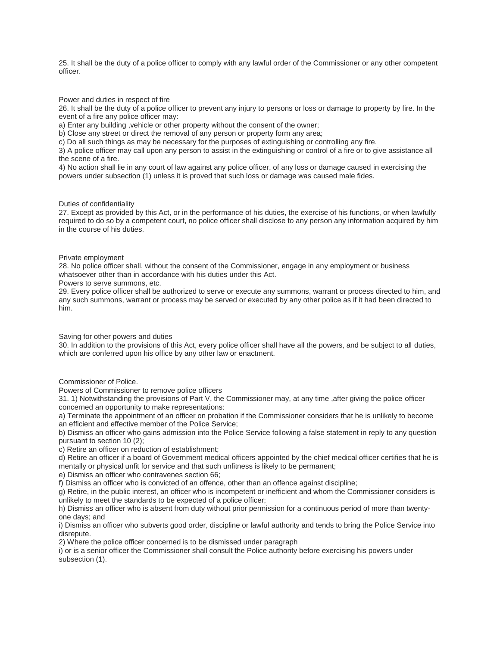25. It shall be the duty of a police officer to comply with any lawful order of the Commissioner or any other competent officer.

Power and duties in respect of fire

26. It shall be the duty of a police officer to prevent any injury to persons or loss or damage to property by fire. In the event of a fire any police officer may:

a) Enter any building ,vehicle or other property without the consent of the owner;

b) Close any street or direct the removal of any person or property form any area;

c) Do all such things as may be necessary for the purposes of extinguishing or controlling any fire.

3) A police officer may call upon any person to assist in the extinguishing or control of a fire or to give assistance all the scene of a fire.

4) No action shall lie in any court of law against any police officer, of any loss or damage caused in exercising the powers under subsection (1) unless it is proved that such loss or damage was caused male fides.

### Duties of confidentiality

27. Except as provided by this Act, or in the performance of his duties, the exercise of his functions, or when lawfully required to do so by a competent court, no police officer shall disclose to any person any information acquired by him in the course of his duties.

### Private employment

28. No police officer shall, without the consent of the Commissioner, engage in any employment or business whatsoever other than in accordance with his duties under this Act.

Powers to serve summons, etc.

29. Every police officer shall be authorized to serve or execute any summons, warrant or process directed to him, and any such summons, warrant or process may be served or executed by any other police as if it had been directed to him.

Saving for other powers and duties

30. In addition to the provisions of this Act, every police officer shall have all the powers, and be subject to all duties, which are conferred upon his office by any other law or enactment.

# Commissioner of Police.

Powers of Commissioner to remove police officers

31. 1) Notwithstanding the provisions of Part V, the Commissioner may, at any time ,after giving the police officer concerned an opportunity to make representations:

a) Terminate the appointment of an officer on probation if the Commissioner considers that he is unlikely to become an efficient and effective member of the Police Service;

b) Dismiss an officer who gains admission into the Police Service following a false statement in reply to any question pursuant to section 10 (2);

c) Retire an officer on reduction of establishment;

d) Retire an officer if a board of Government medical officers appointed by the chief medical officer certifies that he is mentally or physical unfit for service and that such unfitness is likely to be permanent;

e) Dismiss an officer who contravenes section 66;

f) Dismiss an officer who is convicted of an offence, other than an offence against discipline;

g) Retire, in the public interest, an officer who is incompetent or inefficient and whom the Commissioner considers is unlikely to meet the standards to be expected of a police officer;

h) Dismiss an officer who is absent from duty without prior permission for a continuous period of more than twentyone days; and

i) Dismiss an officer who subverts good order, discipline or lawful authority and tends to bring the Police Service into disrepute.

2) Where the police officer concerned is to be dismissed under paragraph

i) or is a senior officer the Commissioner shall consult the Police authority before exercising his powers under subsection (1).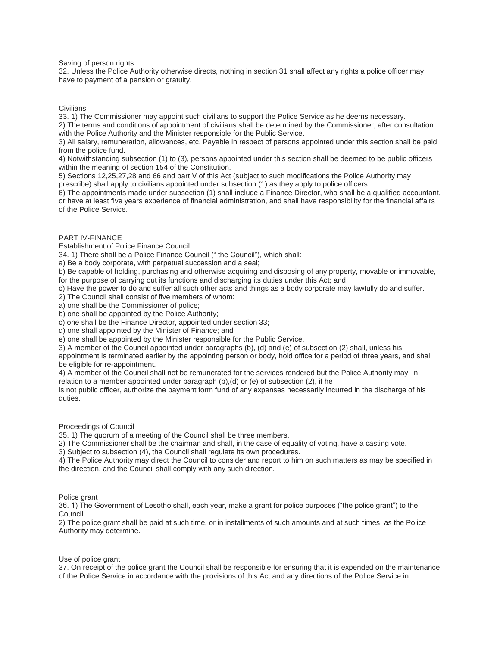### Saving of person rights

32. Unless the Police Authority otherwise directs, nothing in section 31 shall affect any rights a police officer may have to payment of a pension or gratuity.

**Civilians** 

33. 1) The Commissioner may appoint such civilians to support the Police Service as he deems necessary.

2) The terms and conditions of appointment of civilians shall be determined by the Commissioner, after consultation with the Police Authority and the Minister responsible for the Public Service.

3) All salary, remuneration, allowances, etc. Payable in respect of persons appointed under this section shall be paid from the police fund.

4) Notwithstanding subsection (1) to (3), persons appointed under this section shall be deemed to be public officers within the meaning of section 154 of the Constitution.

5) Sections 12,25,27,28 and 66 and part V of this Act (subject to such modifications the Police Authority may prescribe) shall apply to civilians appointed under subsection (1) as they apply to police officers.

6) The appointments made under subsection (1) shall include a Finance Director, who shall be a qualified accountant, or have at least five years experience of financial administration, and shall have responsibility for the financial affairs of the Police Service.

## PART IV-FINANCE

Establishment of Police Finance Council

34. 1) There shall be a Police Finance Council (" the Council"), which shall:

a) Be a body corporate, with perpetual succession and a seal;

b) Be capable of holding, purchasing and otherwise acquiring and disposing of any property, movable or immovable, for the purpose of carrying out its functions and discharging its duties under this Act; and

c) Have the power to do and suffer all such other acts and things as a body corporate may lawfully do and suffer.

2) The Council shall consist of five members of whom:

a) one shall be the Commissioner of police;

b) one shall be appointed by the Police Authority;

c) one shall be the Finance Director, appointed under section 33;

d) one shall appointed by the Minister of Finance; and

e) one shall be appointed by the Minister responsible for the Public Service.

3) A member of the Council appointed under paragraphs (b), (d) and (e) of subsection (2) shall, unless his appointment is terminated earlier by the appointing person or body, hold office for a period of three years, and shall be eligible for re-appointment.

4) A member of the Council shall not be remunerated for the services rendered but the Police Authority may, in relation to a member appointed under paragraph (b),(d) or (e) of subsection (2), if he

is not public officer, authorize the payment form fund of any expenses necessarily incurred in the discharge of his duties.

Proceedings of Council

35. 1) The quorum of a meeting of the Council shall be three members.

2) The Commissioner shall be the chairman and shall, in the case of equality of voting, have a casting vote.

3) Subject to subsection (4), the Council shall regulate its own procedures.

4) The Police Authority may direct the Council to consider and report to him on such matters as may be specified in the direction, and the Council shall comply with any such direction.

### Police grant

36. 1) The Government of Lesotho shall, each year, make a grant for police purposes ("the police grant") to the Council.

2) The police grant shall be paid at such time, or in installments of such amounts and at such times, as the Police Authority may determine.

### Use of police grant

37. On receipt of the police grant the Council shall be responsible for ensuring that it is expended on the maintenance of the Police Service in accordance with the provisions of this Act and any directions of the Police Service in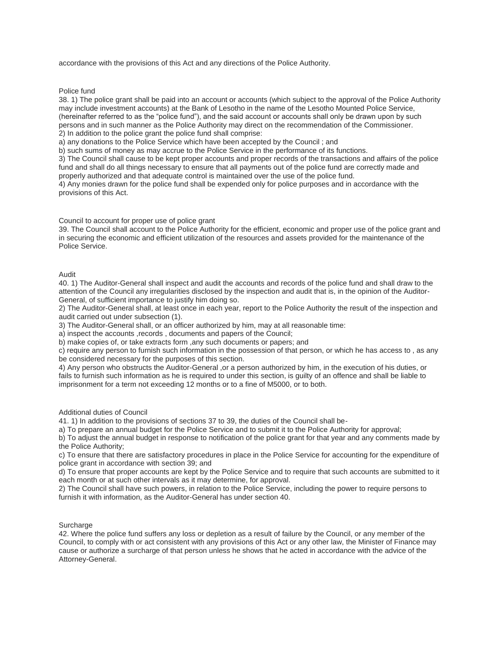accordance with the provisions of this Act and any directions of the Police Authority.

Police fund

38. 1) The police grant shall be paid into an account or accounts (which subject to the approval of the Police Authority may include investment accounts) at the Bank of Lesotho in the name of the Lesotho Mounted Police Service, (hereinafter referred to as the "police fund"), and the said account or accounts shall only be drawn upon by such persons and in such manner as the Police Authority may direct on the recommendation of the Commissioner. 2) In addition to the police grant the police fund shall comprise:

a) any donations to the Police Service which have been accepted by the Council ; and

b) such sums of money as may accrue to the Police Service in the performance of its functions.

3) The Council shall cause to be kept proper accounts and proper records of the transactions and affairs of the police fund and shall do all things necessary to ensure that all payments out of the police fund are correctly made and properly authorized and that adequate control is maintained over the use of the police fund.

4) Any monies drawn for the police fund shall be expended only for police purposes and in accordance with the provisions of this Act.

Council to account for proper use of police grant

39. The Council shall account to the Police Authority for the efficient, economic and proper use of the police grant and in securing the economic and efficient utilization of the resources and assets provided for the maintenance of the Police Service.

## Audit

40. 1) The Auditor-General shall inspect and audit the accounts and records of the police fund and shall draw to the attention of the Council any irregularities disclosed by the inspection and audit that is, in the opinion of the Auditor-General, of sufficient importance to justify him doing so.

2) The Auditor-General shall, at least once in each year, report to the Police Authority the result of the inspection and audit carried out under subsection (1).

3) The Auditor-General shall, or an officer authorized by him, may at all reasonable time:

a) inspect the accounts ,records , documents and papers of the Council;

b) make copies of, or take extracts form ,any such documents or papers; and

c) require any person to furnish such information in the possession of that person, or which he has access to , as any be considered necessary for the purposes of this section.

4) Any person who obstructs the Auditor-General ,or a person authorized by him, in the execution of his duties, or fails to furnish such information as he is required to under this section, is guilty of an offence and shall be liable to imprisonment for a term not exceeding 12 months or to a fine of M5000, or to both.

### Additional duties of Council

41. 1) In addition to the provisions of sections 37 to 39, the duties of the Council shall be-

a) To prepare an annual budget for the Police Service and to submit it to the Police Authority for approval;

b) To adjust the annual budget in response to notification of the police grant for that year and any comments made by the Police Authority;

c) To ensure that there are satisfactory procedures in place in the Police Service for accounting for the expenditure of police grant in accordance with section 39; and

d) To ensure that proper accounts are kept by the Police Service and to require that such accounts are submitted to it each month or at such other intervals as it may determine, for approval.

2) The Council shall have such powers, in relation to the Police Service, including the power to require persons to furnish it with information, as the Auditor-General has under section 40.

### Surcharge

42. Where the police fund suffers any loss or depletion as a result of failure by the Council, or any member of the Council, to comply with or act consistent with any provisions of this Act or any other law, the Minister of Finance may cause or authorize a surcharge of that person unless he shows that he acted in accordance with the advice of the Attorney-General.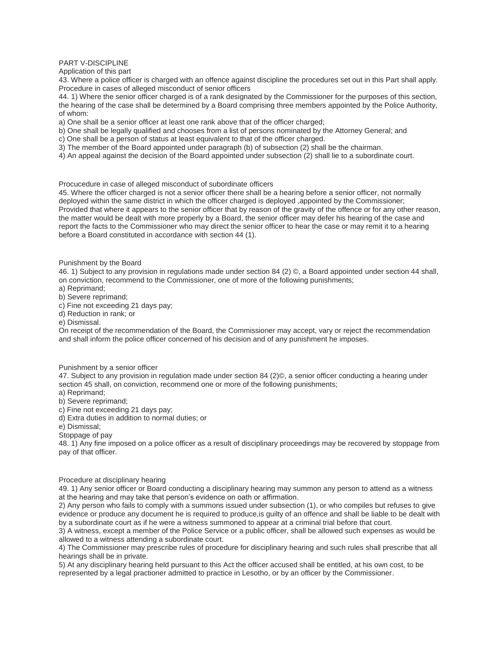PART V-DISCIPLINE

Application of this part

43. Where a police officer is charged with an offence against discipline the procedures set out in this Part shall apply. Procedure in cases of alleged misconduct of senior officers

44. 1) Where the senior officer charged is of a rank designated by the Commissioner for the purposes of this section, the hearing of the case shall be determined by a Board comprising three members appointed by the Police Authority, of whom:

a) One shall be a senior officer at least one rank above that of the officer charged;

b) One shall be legally qualified and chooses from a list of persons nominated by the Attorney General; and

c) One shall be a person of status at least equivalent to that of the officer charged.

3) The member of the Board appointed under paragraph (b) of subsection (2) shall be the chairman.

4) An appeal against the decision of the Board appointed under subsection (2) shall lie to a subordinate court.

Procucedure in case of alleged misconduct of subordinate officers

45. Where the officer charged is not a senior officer there shall be a hearing before a senior officer, not normally deployed within the same district in which the officer charged is deployed ,appointed by the Commissioner; Provided that where it appears to the senior officer that by reason of the gravity of the offence or for any other reason, the matter would be dealt with more properly by a Board, the senior officer may defer his hearing of the case and report the facts to the Commissioner who may direct the senior officer to hear the case or may remit it to a hearing before a Board constituted in accordance with section 44 (1).

Punishment by the Board

46. 1) Subject to any provision in regulations made under section 84 (2) ©, a Board appointed under section 44 shall, on conviction, recommend to the Commissioner, one of more of the following punishments;

a) Reprimand;

b) Severe reprimand;

c) Fine not exceeding 21 days pay;

d) Reduction in rank; or

e) Dismissal.

On receipt of the recommendation of the Board, the Commissioner may accept, vary or reject the recommendation and shall inform the police officer concerned of his decision and of any punishment he imposes.

Punishment by a senior officer

47. Subject to any provision in regulation made under section 84 (2)©, a senior officer conducting a hearing under section 45 shall, on conviction, recommend one or more of the following punishments;

a) Reprimand;

b) Severe reprimand;

c) Fine not exceeding 21 days pay;

d) Extra duties in addition to normal duties; or

e) Dismissal;

Stoppage of pay

48. 1) Any fine imposed on a police officer as a result of disciplinary proceedings may be recovered by stoppage from pay of that officer.

### Procedure at disciplinary hearing

49. 1) Any senior officer or Board conducting a disciplinary hearing may summon any person to attend as a witness at the hearing and may take that person's evidence on oath or affirmation.

2) Any person who fails to comply with a summons issued under subsection (1), or who compiles but refuses to give evidence or produce any document he is required to produce,is guilty of an offence and shall be liable to be dealt with by a subordinate court as if he were a witness summoned to appear at a criminal trial before that court.

3) A witness, except a member of the Police Service or a public officer, shall be allowed such expenses as would be allowed to a witness attending a subordinate court.

4) The Commissioner may prescribe rules of procedure for disciplinary hearing and such rules shall prescribe that all hearings shall be in private.

5) At any disciplinary hearing held pursuant to this Act the officer accused shall be entitled, at his own cost, to be represented by a legal practioner admitted to practice in Lesotho, or by an officer by the Commissioner.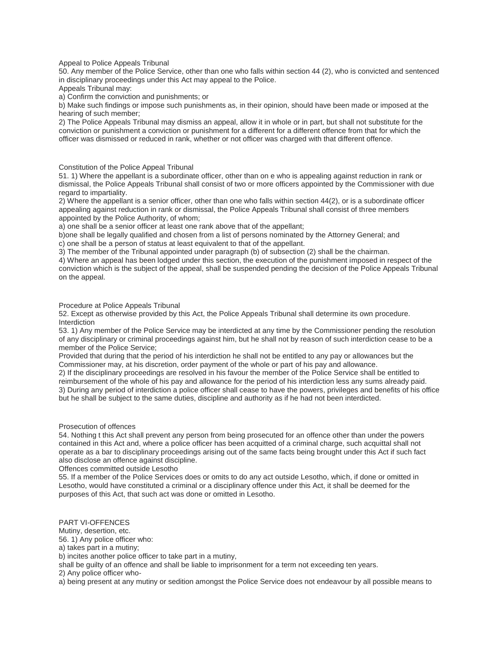Appeal to Police Appeals Tribunal

50. Any member of the Police Service, other than one who falls within section 44 (2), who is convicted and sentenced in disciplinary proceedings under this Act may appeal to the Police.

Appeals Tribunal may:

a) Confirm the conviction and punishments; or

b) Make such findings or impose such punishments as, in their opinion, should have been made or imposed at the hearing of such member;

2) The Police Appeals Tribunal may dismiss an appeal, allow it in whole or in part, but shall not substitute for the conviction or punishment a conviction or punishment for a different for a different offence from that for which the officer was dismissed or reduced in rank, whether or not officer was charged with that different offence.

Constitution of the Police Appeal Tribunal

51. 1) Where the appellant is a subordinate officer, other than on e who is appealing against reduction in rank or dismissal, the Police Appeals Tribunal shall consist of two or more officers appointed by the Commissioner with due regard to impartiality.

2) Where the appellant is a senior officer, other than one who falls within section 44(2), or is a subordinate officer appealing against reduction in rank or dismissal, the Police Appeals Tribunal shall consist of three members appointed by the Police Authority, of whom;

a) one shall be a senior officer at least one rank above that of the appellant;

b)one shall be legally qualified and chosen from a list of persons nominated by the Attorney General; and

c) one shall be a person of status at least equivalent to that of the appellant.

3) The member of the Tribunal appointed under paragraph (b) of subsection (2) shall be the chairman.

4) Where an appeal has been lodged under this section, the execution of the punishment imposed in respect of the conviction which is the subject of the appeal, shall be suspended pending the decision of the Police Appeals Tribunal on the appeal.

Procedure at Police Appeals Tribunal

52. Except as otherwise provided by this Act, the Police Appeals Tribunal shall determine its own procedure. **Interdiction** 

53. 1) Any member of the Police Service may be interdicted at any time by the Commissioner pending the resolution of any disciplinary or criminal proceedings against him, but he shall not by reason of such interdiction cease to be a member of the Police Service;

Provided that during that the period of his interdiction he shall not be entitled to any pay or allowances but the Commissioner may, at his discretion, order payment of the whole or part of his pay and allowance.

2) If the disciplinary proceedings are resolved in his favour the member of the Police Service shall be entitled to reimbursement of the whole of his pay and allowance for the period of his interdiction less any sums already paid. 3) During any period of interdiction a police officer shall cease to have the powers, privileges and benefits of his office but he shall be subject to the same duties, discipline and authority as if he had not been interdicted.

Prosecution of offences

54. Nothing t this Act shall prevent any person from being prosecuted for an offence other than under the powers contained in this Act and, where a police officer has been acquitted of a criminal charge, such acquittal shall not operate as a bar to disciplinary proceedings arising out of the same facts being brought under this Act if such fact also disclose an offence against discipline.

Offences committed outside Lesotho

55. If a member of the Police Services does or omits to do any act outside Lesotho, which, if done or omitted in Lesotho, would have constituted a criminal or a disciplinary offence under this Act, it shall be deemed for the purposes of this Act, that such act was done or omitted in Lesotho.

PART VI-OFFENCES

Mutiny, desertion, etc.

56. 1) Any police officer who:

a) takes part in a mutiny;

b) incites another police officer to take part in a mutiny,

shall be guilty of an offence and shall be liable to imprisonment for a term not exceeding ten years.

2) Any police officer who-

a) being present at any mutiny or sedition amongst the Police Service does not endeavour by all possible means to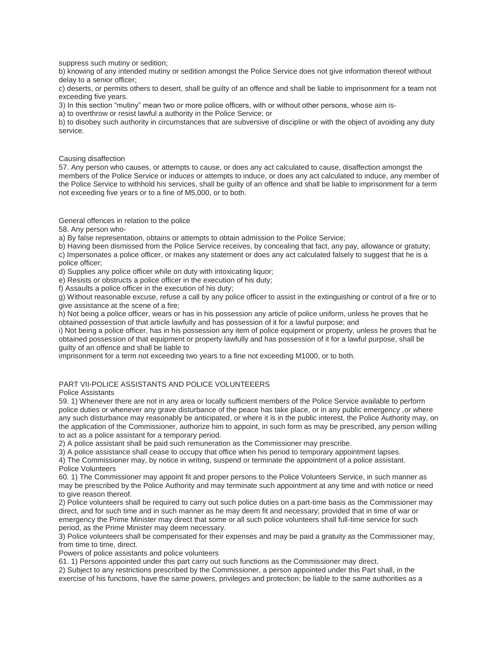suppress such mutiny or sedition;

b) knowing of any intended mutiny or sedition amongst the Police Service does not give information thereof without delay to a senior officer;

c) deserts, or permits others to desert, shall be guilty of an offence and shall be liable to imprisonment for a team not exceeding five years.

3) In this section "mutiny" mean two or more police officers, with or without other persons, whose aim is-

a) to overthrow or resist lawful a authority in the Police Service; or

b) to disobey such authority in circumstances that are subversive of discipline or with the object of avoiding any duty service.

Causing disaffection

57. Any person who causes, or attempts to cause, or does any act calculated to cause, disaffection amongst the members of the Police Service or induces or attempts to induce, or does any act calculated to induce, any member of the Police Service to withhold his services, shall be guilty of an offence and shall be liable to imprisonment for a term not exceeding five years or to a fine of M5,000, or to both.

General offences in relation to the police

58. Any person who-

a) By false representation, obtains or attempts to obtain admission to the Police Service;

b) Having been dismissed from the Police Service receives, by concealing that fact, any pay, allowance or gratuity; c) Impersonates a police officer, or makes any statement or does any act calculated falsely to suggest that he is a police officer;

d) Supplies any police officer while on duty with intoxicating liquor;

e) Resists or obstructs a police officer in the execution of his duty;

f) Assaults a police officer in the execution of his duty;

g) Without reasonable excuse, refuse a call by any police officer to assist in the extinguishing or control of a fire or to give assistance at the scene of a fire;

h) Not being a police officer, wears or has in his possession any article of police uniform, unless he proves that he obtained possession of that article lawfully and has possession of it for a lawful purpose; and

i) Not being a police officer, has in his possession any item of police equipment or property, unless he proves that he obtained possession of that equipment or property lawfully and has possession of it for a lawful purpose, shall be guilty of an offence and shall be liable to

imprisonment for a term not exceeding two years to a fine not exceeding M1000, or to both.

# PART VII-POLICE ASSISTANTS AND POLICE VOLUNTEEERS

Police Assistants

59. 1) Whenever there are not in any area or locally sufficient members of the Police Service available to perform police duties or whenever any grave disturbance of the peace has take place, or in any public emergency ,or where any such disturbance may reasonably be anticipated, or where it is in the public interest, the Police Authority may, on the application of the Commissioner, authorize him to appoint, in such form as may be prescribed, any person willing to act as a police assistant for a temporary period.

2) A police assistant shall be paid such remuneration as the Commissioner may prescribe.

3) A police assistance shall cease to occupy that office when his period to temporary appointment lapses.

4) The Commissioner may, by notice in writing, suspend or terminate the appointment of a police assistant. Police Volunteers

60. 1) The Commissioner may appoint fit and proper persons to the Police Volunteers Service, in such manner as may be prescribed by the Police Authority and may terminate such appointment at any time and with notice or need to give reason thereof.

2) Police volunteers shall be required to carry out such police duties on a part-time basis as the Commissioner may direct, and for such time and in such manner as he may deem fit and necessary; provided that in time of war or emergency the Prime Minister may direct that some or all such police volunteers shall full-time service for such period, as the Prime Minister may deem necessary.

3) Police volunteers shall be compensated for their expenses and may be paid a gratuity as the Commissioner may, from time to time, direct.

Powers of police assistants and police volunteers

61. 1) Persons appointed under this part carry out such functions as the Commissioner may direct.

2) Subject to any restrictions prescribed by the Commissioner, a person appointed under this Part shall, in the exercise of his functions, have the same powers, privileges and protection; be liable to the same authorities as a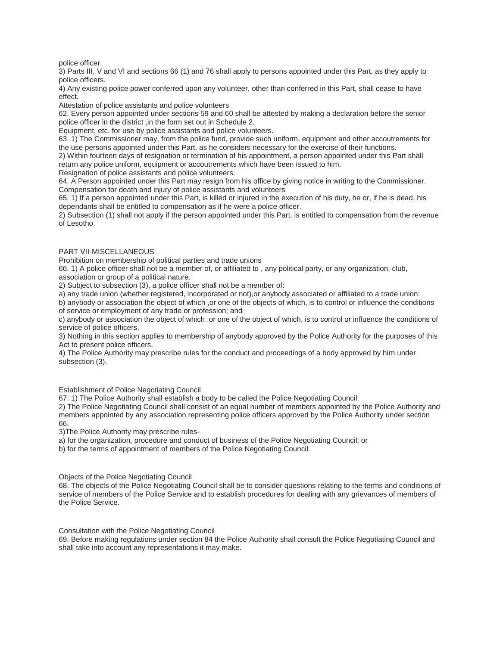police officer.

3) Parts III, V and VI and sections 66 (1) and 76 shall apply to persons appointed under this Part, as they apply to police officers.

4) Any existing police power conferred upon any volunteer, other than conferred in this Part, shall cease to have effect.

Attestation of police assistants and police volunteers

62. Every person appointed under sections 59 and 60 shall be attested by making a declaration before the senior police officer in the district ,in the form set out in Schedule 2.

Equipment, etc. for use by police assistants and police volunteers.

63. 1) The Commissioner may, from the police fund, provide such uniform, equipment and other accoutrements for the use persons appointed under this Part, as he considers necessary for the exercise of their functions.

2) Within fourteen days of resignation or termination of his appointment, a person appointed under this Part shall return any police uniform, equipment or accoutrements which have been issued to him.

Resignation of police assistants and police volunteers.

64. A Person appointed under this Part may resign from his office by giving notice in writing to the Commissioner. Compensation for death and injury of police assistants and volunteers

65. 1) If a person appointed under this Part, is killed or injured in the execution of his duty, he or, if he is dead, his dependants shall be entitled to compensation as if he were a police officer.

2) Subsection (1) shall not apply if the person appointed under this Part, is entitled to compensation from the revenue of Lesotho.

## PART VII-MISCELLANEOUS

Prohibition on membership of political parties and trade unions

66. 1) A police officer shall not be a member of, or affiliated to , any political party, or any organization, club, association or group of a political nature.

2) Subject to subsection (3), a police officer shall not be a member of:

a) any trade union (whether registered, incorporated or not),or anybody associated or affiliated to a trade union:

b) anybody or association the object of which ,or one of the objects of which, is to control or influence the conditions of service or employment of any trade or profession; and

c) anybody or association the object of which ,or one of the object of which, is to control or influence the conditions of service of police officers.

3) Nothing in this section applies to membership of anybody approved by the Police Authority for the purposes of this Act to present police officers.

4) The Police Authority may prescribe rules for the conduct and proceedings of a body approved by him under subsection (3).

Establishment of Police Negotiating Council

67. 1) The Police Authority shall establish a body to be called the Police Negotiating Council.

2) The Police Negotiating Council shall consist of an equal number of members appointed by the Police Authority and members appointed by any association representing police officers approved by the Police Authority under section 66.

3)The Police Authority may prescribe rules-

a) for the organization, procedure and conduct of business of the Police Negotiating Council; or

b) for the terms of appointment of members of the Police Negotiating Council.

Objects of the Police Negotiating Council

68. The objects of the Police Negotiating Council shall be to consider questions relating to the terms and conditions of service of members of the Police Service and to establish procedures for dealing with any grievances of members of the Police Service.

Consultation with the Police Negotiating Council

69. Before making regulations under section 84 the Police Authority shall consult the Police Negotiating Council and shall take into account any representations it may make.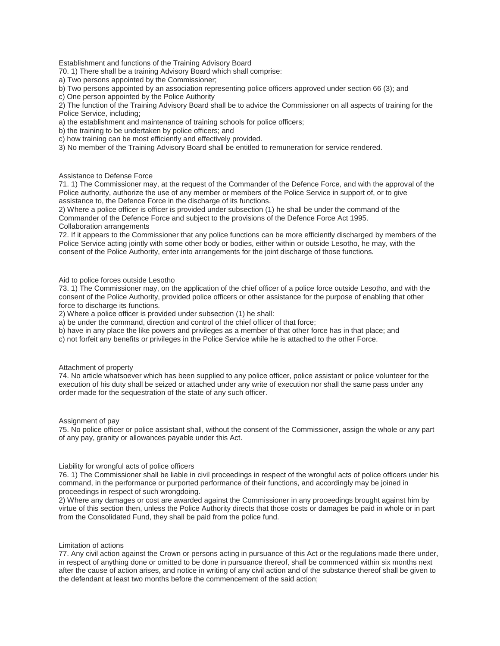Establishment and functions of the Training Advisory Board

70. 1) There shall be a training Advisory Board which shall comprise:

a) Two persons appointed by the Commissioner;

b) Two persons appointed by an association representing police officers approved under section 66 (3); and

c) One person appointed by the Police Authority

2) The function of the Training Advisory Board shall be to advice the Commissioner on all aspects of training for the Police Service, including;

a) the establishment and maintenance of training schools for police officers;

b) the training to be undertaken by police officers; and

c) how training can be most efficiently and effectively provided.

3) No member of the Training Advisory Board shall be entitled to remuneration for service rendered.

## Assistance to Defense Force

71. 1) The Commissioner may, at the request of the Commander of the Defence Force, and with the approval of the Police authority, authorize the use of any member or members of the Police Service in support of, or to give assistance to, the Defence Force in the discharge of its functions.

2) Where a police officer is officer is provided under subsection (1) he shall be under the command of the Commander of the Defence Force and subject to the provisions of the Defence Force Act 1995. Collaboration arrangements

72. If it appears to the Commissioner that any police functions can be more efficiently discharged by members of the Police Service acting jointly with some other body or bodies, either within or outside Lesotho, he may, with the consent of the Police Authority, enter into arrangements for the joint discharge of those functions.

Aid to police forces outside Lesotho

73. 1) The Commissioner may, on the application of the chief officer of a police force outside Lesotho, and with the consent of the Police Authority, provided police officers or other assistance for the purpose of enabling that other force to discharge its functions.

2) Where a police officer is provided under subsection (1) he shall:

a) be under the command, direction and control of the chief officer of that force;

b) have in any place the like powers and privileges as a member of that other force has in that place; and

c) not forfeit any benefits or privileges in the Police Service while he is attached to the other Force.

Attachment of property

74. No article whatsoever which has been supplied to any police officer, police assistant or police volunteer for the execution of his duty shall be seized or attached under any write of execution nor shall the same pass under any order made for the sequestration of the state of any such officer.

Assignment of pay

75. No police officer or police assistant shall, without the consent of the Commissioner, assign the whole or any part of any pay, granity or allowances payable under this Act.

Liability for wrongful acts of police officers

76. 1) The Commissioner shall be liable in civil proceedings in respect of the wrongful acts of police officers under his command, in the performance or purported performance of their functions, and accordingly may be joined in proceedings in respect of such wrongdoing.

2) Where any damages or cost are awarded against the Commissioner in any proceedings brought against him by virtue of this section then, unless the Police Authority directs that those costs or damages be paid in whole or in part from the Consolidated Fund, they shall be paid from the police fund.

## Limitation of actions

77. Any civil action against the Crown or persons acting in pursuance of this Act or the regulations made there under, in respect of anything done or omitted to be done in pursuance thereof, shall be commenced within six months next after the cause of action arises, and notice in writing of any civil action and of the substance thereof shall be given to the defendant at least two months before the commencement of the said action;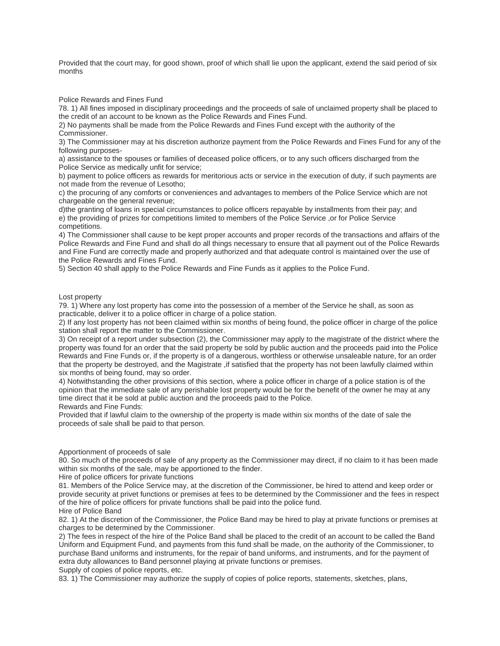Provided that the court may, for good shown, proof of which shall lie upon the applicant, extend the said period of six months

Police Rewards and Fines Fund

78. 1) All fines imposed in disciplinary proceedings and the proceeds of sale of unclaimed property shall be placed to the credit of an account to be known as the Police Rewards and Fines Fund.

2) No payments shall be made from the Police Rewards and Fines Fund except with the authority of the Commissioner.

3) The Commissioner may at his discretion authorize payment from the Police Rewards and Fines Fund for any of the following purposes-

a) assistance to the spouses or families of deceased police officers, or to any such officers discharged from the Police Service as medically unfit for service;

b) payment to police officers as rewards for meritorious acts or service in the execution of duty, if such payments are not made from the revenue of Lesotho;

c) the procuring of any comforts or conveniences and advantages to members of the Police Service which are not chargeable on the general revenue;

d)the granting of loans in special circumstances to police officers repayable by installments from their pay; and e) the providing of prizes for competitions limited to members of the Police Service ,or for Police Service competitions.

4) The Commissioner shall cause to be kept proper accounts and proper records of the transactions and affairs of the Police Rewards and Fine Fund and shall do all things necessary to ensure that all payment out of the Police Rewards and Fine Fund are correctly made and properly authorized and that adequate control is maintained over the use of the Police Rewards and Fines Fund.

5) Section 40 shall apply to the Police Rewards and Fine Funds as it applies to the Police Fund.

Lost property

79. 1) Where any lost property has come into the possession of a member of the Service he shall, as soon as practicable, deliver it to a police officer in charge of a police station.

2) If any lost property has not been claimed within six months of being found, the police officer in charge of the police station shall report the matter to the Commissioner.

3) On receipt of a report under subsection (2), the Commissioner may apply to the magistrate of the district where the property was found for an order that the said property be sold by public auction and the proceeds paid into the Police Rewards and Fine Funds or, if the property is of a dangerous, worthless or otherwise unsaleable nature, for an order that the property be destroyed, and the Magistrate ,if satisfied that the property has not been lawfully claimed within six months of being found, may so order.

4) Notwithstanding the other provisions of this section, where a police officer in charge of a police station is of the opinion that the immediate sale of any perishable lost property would be for the benefit of the owner he may at any time direct that it be sold at public auction and the proceeds paid to the Police.

Rewards and Fine Funds:

Provided that if lawful claim to the ownership of the property is made within six months of the date of sale the proceeds of sale shall be paid to that person.

Apportionment of proceeds of sale

80. So much of the proceeds of sale of any property as the Commissioner may direct, if no claim to it has been made within six months of the sale, may be apportioned to the finder.

Hire of police officers for private functions

81. Members of the Police Service may, at the discretion of the Commissioner, be hired to attend and keep order or provide security at privet functions or premises at fees to be determined by the Commissioner and the fees in respect of the hire of police officers for private functions shall be paid into the police fund. Hire of Police Band

82. 1) At the discretion of the Commissioner, the Police Band may be hired to play at private functions or premises at charges to be determined by the Commissioner.

2) The fees in respect of the hire of the Police Band shall be placed to the credit of an account to be called the Band Uniform and Equipment Fund, and payments from this fund shall be made, on the authority of the Commissioner, to purchase Band uniforms and instruments, for the repair of band uniforms, and instruments, and for the payment of extra duty allowances to Band personnel playing at private functions or premises.

Supply of copies of police reports, etc.

83. 1) The Commissioner may authorize the supply of copies of police reports, statements, sketches, plans,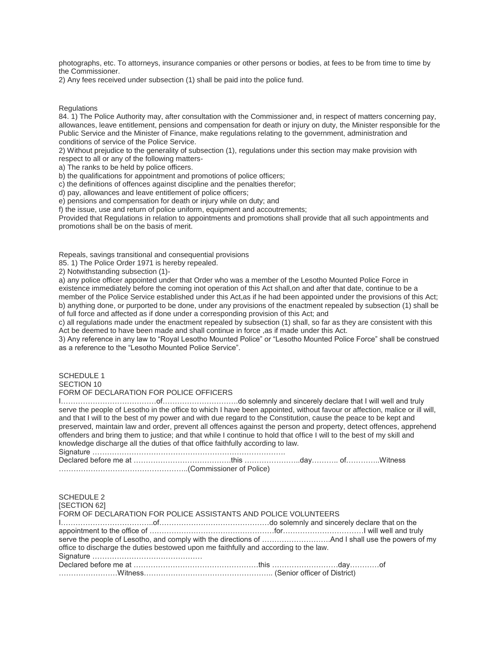photographs, etc. To attorneys, insurance companies or other persons or bodies, at fees to be from time to time by the Commissioner.

2) Any fees received under subsection (1) shall be paid into the police fund.

**Regulations** 

84. 1) The Police Authority may, after consultation with the Commissioner and, in respect of matters concerning pay, allowances, leave entitlement, pensions and compensation for death or injury on duty, the Minister responsible for the Public Service and the Minister of Finance, make regulations relating to the government, administration and conditions of service of the Police Service.

2) Without prejudice to the generality of subsection (1), regulations under this section may make provision with respect to all or any of the following matters-

a) The ranks to be held by police officers.

b) the qualifications for appointment and promotions of police officers;

c) the definitions of offences against discipline and the penalties therefor;

d) pay, allowances and leave entitlement of police officers;

e) pensions and compensation for death or injury while on duty; and

f) the issue, use and return of police uniform, equipment and accoutrements;

Provided that Regulations in relation to appointments and promotions shall provide that all such appointments and promotions shall be on the basis of merit.

Repeals, savings transitional and consequential provisions

85. 1) The Police Order 1971 is hereby repealed.

2) Notwithstanding subsection (1)-

a) any police officer appointed under that Order who was a member of the Lesotho Mounted Police Force in existence immediately before the coming inot operation of this Act shall,on and after that date, continue to be a member of the Police Service established under this Act,as if he had been appointed under the provisions of this Act; b) anything done, or purported to be done, under any provisions of the enactment repealed by subsection (1) shall be of full force and affected as if done under a corresponding provision of this Act; and

c) all regulations made under the enactment repealed by subsection (1) shall, so far as they are consistent with this Act be deemed to have been made and shall continue in force ,as if made under this Act.

3) Any reference in any law to "Royal Lesotho Mounted Police" or "Lesotho Mounted Police Force" shall be construed as a reference to the "Lesotho Mounted Police Service".

## SCHEDULE 1 SECTION 10

## FORM OF DECLARATION FOR POLICE OFFICERS

I…………………………………of………………………….do solemnly and sincerely declare that I will well and truly serve the people of Lesotho in the office to which I have been appointed, without favour or affection, malice or ill will, and that I will to the best of my power and with due regard to the Constitution, cause the peace to be kept and preserved, maintain law and order, prevent all offences against the person and property, detect offences, apprehend offenders and bring them to justice; and that while I continue to hold that office I will to the best of my skill and knowledge discharge all the duties of that office faithfully according to law. Signature …………………………………………………………………….

Declared before me at ………………………………….this …………………..day……….. of…………..Witness ……………………………………………..(Commissioner of Police)

| <b>SCHEDULE 2</b><br>[SECTION 62]<br>FORM OF DECLARATION FOR POLICE ASSISTANTS AND POLICE VOLUNTEERS |  |
|------------------------------------------------------------------------------------------------------|--|
|                                                                                                      |  |
|                                                                                                      |  |
|                                                                                                      |  |
| office to discharge the duties bestowed upon me faithfully and according to the law.                 |  |
|                                                                                                      |  |
|                                                                                                      |  |
|                                                                                                      |  |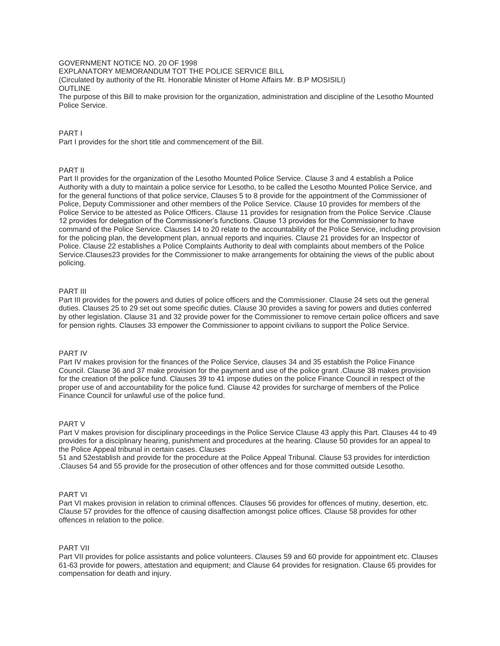## GOVERNMENT NOTICE NO. 20 OF 1998

EXPLANATORY MEMORANDUM TOT THE POLICE SERVICE BILL

(Circulated by authority of the Rt. Honorable Minister of Home Affairs Mr. B.P MOSISILI) OUTLINE

The purpose of this Bill to make provision for the organization, administration and discipline of the Lesotho Mounted Police Service.

## PART I

Part I provides for the short title and commencement of the Bill.

## PART II

Part II provides for the organization of the Lesotho Mounted Police Service. Clause 3 and 4 establish a Police Authority with a duty to maintain a police service for Lesotho, to be called the Lesotho Mounted Police Service, and for the general functions of that police service, Clauses 5 to 8 provide for the appointment of the Commissioner of Police, Deputy Commissioner and other members of the Police Service. Clause 10 provides for members of the Police Service to be attested as Police Officers. Clause 11 provides for resignation from the Police Service .Clause 12 provides for delegation of the Commissioner's functions. Clause 13 provides for the Commissioner to have command of the Police Service. Clauses 14 to 20 relate to the accountability of the Police Service, including provision for the policing plan, the development plan, annual reports and inquiries. Clause 21 provides for an Inspector of Police. Clause 22 establishes a Police Complaints Authority to deal with complaints about members of the Police Service.Clauses23 provides for the Commissioner to make arrangements for obtaining the views of the public about policing.

## PART III

Part III provides for the powers and duties of police officers and the Commissioner. Clause 24 sets out the general duties. Clauses 25 to 29 set out some specific duties. Clause 30 provides a saving for powers and duties conferred by other legislation. Clause 31 and 32 provide power for the Commissioner to remove certain police officers and save for pension rights. Clauses 33 empower the Commissioner to appoint civilians to support the Police Service.

## PART IV

Part IV makes provision for the finances of the Police Service, clauses 34 and 35 establish the Police Finance Council. Clause 36 and 37 make provision for the payment and use of the police grant .Clause 38 makes provision for the creation of the police fund. Clauses 39 to 41 impose duties on the police Finance Council in respect of the proper use of and accountability for the police fund. Clause 42 provides for surcharge of members of the Police Finance Council for unlawful use of the police fund.

### PART V

Part V makes provision for disciplinary proceedings in the Police Service Clause 43 apply this Part. Clauses 44 to 49 provides for a disciplinary hearing, punishment and procedures at the hearing. Clause 50 provides for an appeal to the Police Appeal tribunal in certain cases. Clauses

51 and 52establish and provide for the procedure at the Police Appeal Tribunal. Clause 53 provides for interdiction .Clauses 54 and 55 provide for the prosecution of other offences and for those committed outside Lesotho.

### PART VI

Part VI makes provision in relation to criminal offences. Clauses 56 provides for offences of mutiny, desertion, etc. Clause 57 provides for the offence of causing disaffection amongst police offices. Clause 58 provides for other offences in relation to the police.

# PART VII

Part VII provides for police assistants and police volunteers. Clauses 59 and 60 provide for appointment etc. Clauses 61-63 provide for powers, attestation and equipment; and Clause 64 provides for resignation. Clause 65 provides for compensation for death and injury.